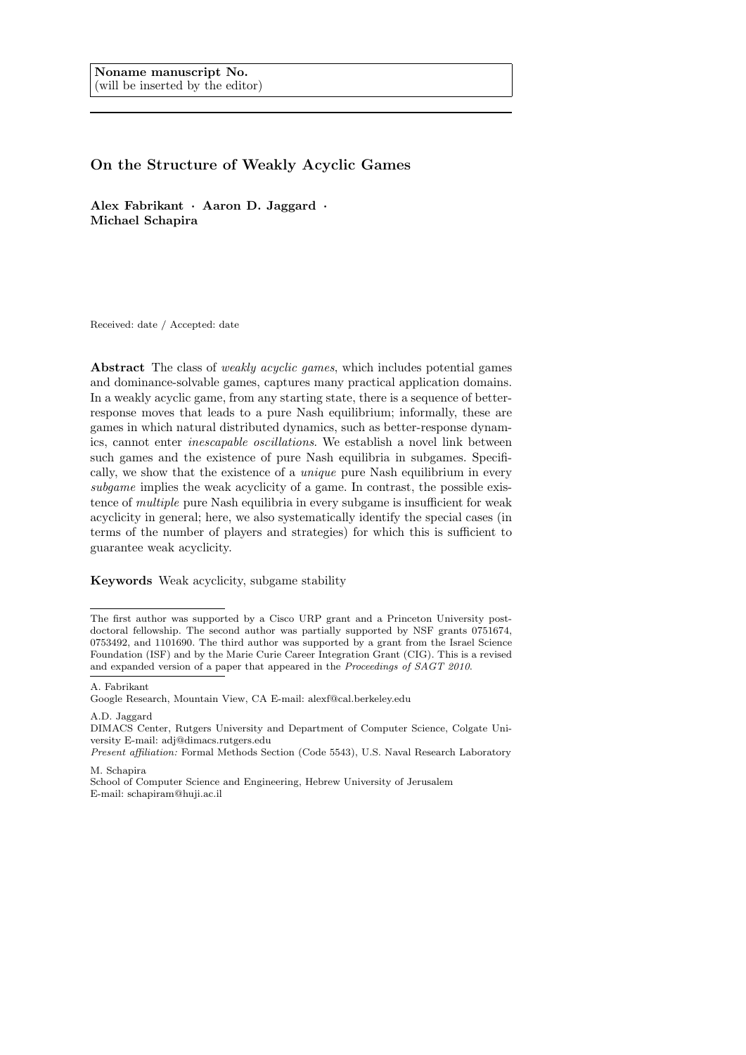# On the Structure of Weakly Acyclic Games

Alex Fabrikant · Aaron D. Jaggard · Michael Schapira

Received: date / Accepted: date

Abstract The class of *weakly acyclic games*, which includes potential games and dominance-solvable games, captures many practical application domains. In a weakly acyclic game, from any starting state, there is a sequence of betterresponse moves that leads to a pure Nash equilibrium; informally, these are games in which natural distributed dynamics, such as better-response dynamics, cannot enter inescapable oscillations. We establish a novel link between such games and the existence of pure Nash equilibria in subgames. Specifically, we show that the existence of a unique pure Nash equilibrium in every subgame implies the weak acyclicity of a game. In contrast, the possible existence of multiple pure Nash equilibria in every subgame is insufficient for weak acyclicity in general; here, we also systematically identify the special cases (in terms of the number of players and strategies) for which this is sufficient to guarantee weak acyclicity.

Keywords Weak acyclicity, subgame stability

A. Fabrikant

A.D. Jaggard

M. Schapira

The first author was supported by a Cisco URP grant and a Princeton University postdoctoral fellowship. The second author was partially supported by NSF grants 0751674, 0753492, and 1101690. The third author was supported by a grant from the Israel Science Foundation (ISF) and by the Marie Curie Career Integration Grant (CIG). This is a revised and expanded version of a paper that appeared in the Proceedings of SAGT 2010.

Google Research, Mountain View, CA E-mail: alexf@cal.berkeley.edu

DIMACS Center, Rutgers University and Department of Computer Science, Colgate University E-mail: adj@dimacs.rutgers.edu

Present affiliation: Formal Methods Section (Code 5543), U.S. Naval Research Laboratory

School of Computer Science and Engineering, Hebrew University of Jerusalem E-mail: schapiram@huji.ac.il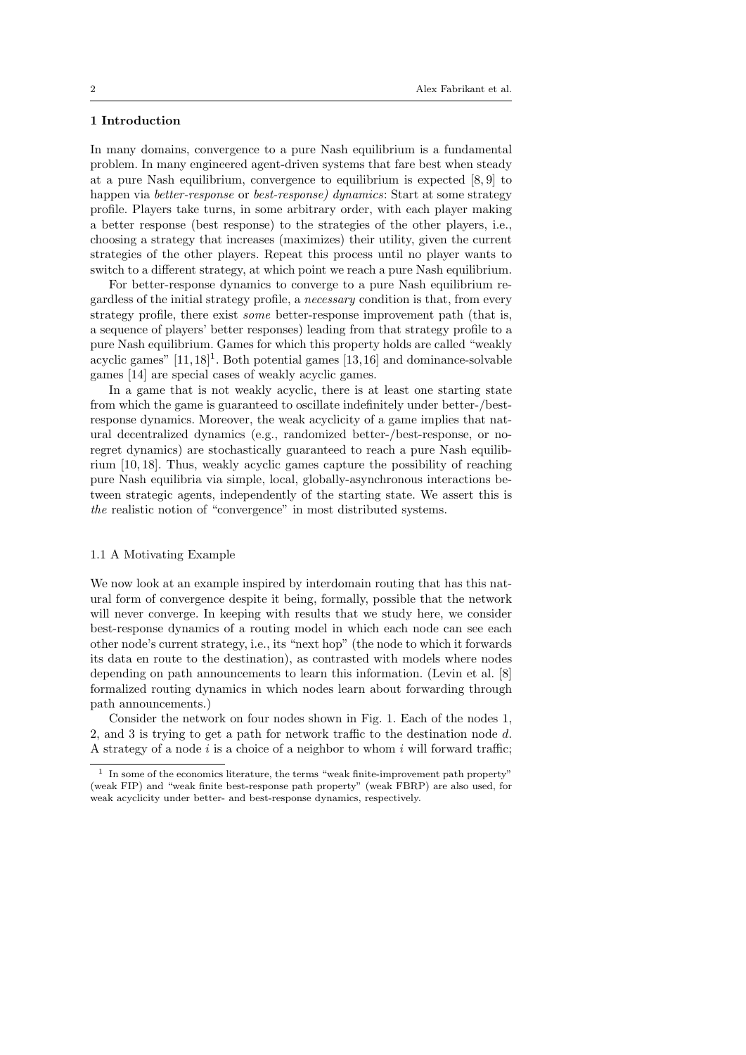# 1 Introduction

In many domains, convergence to a pure Nash equilibrium is a fundamental problem. In many engineered agent-driven systems that fare best when steady at a pure Nash equilibrium, convergence to equilibrium is expected [8, 9] to happen via *better-response* or *best-response*) dynamics: Start at some strategy profile. Players take turns, in some arbitrary order, with each player making a better response (best response) to the strategies of the other players, i.e., choosing a strategy that increases (maximizes) their utility, given the current strategies of the other players. Repeat this process until no player wants to switch to a different strategy, at which point we reach a pure Nash equilibrium.

For better-response dynamics to converge to a pure Nash equilibrium regardless of the initial strategy profile, a necessary condition is that, from every strategy profile, there exist some better-response improvement path (that is, a sequence of players' better responses) leading from that strategy profile to a pure Nash equilibrium. Games for which this property holds are called "weakly acyclic games"  $[11,18]^1$ . Both potential games  $[13,16]$  and dominance-solvable games [14] are special cases of weakly acyclic games.

In a game that is not weakly acyclic, there is at least one starting state from which the game is guaranteed to oscillate indefinitely under better-/bestresponse dynamics. Moreover, the weak acyclicity of a game implies that natural decentralized dynamics (e.g., randomized better-/best-response, or noregret dynamics) are stochastically guaranteed to reach a pure Nash equilibrium [10, 18]. Thus, weakly acyclic games capture the possibility of reaching pure Nash equilibria via simple, local, globally-asynchronous interactions between strategic agents, independently of the starting state. We assert this is the realistic notion of "convergence" in most distributed systems.

#### 1.1 A Motivating Example

We now look at an example inspired by interdomain routing that has this natural form of convergence despite it being, formally, possible that the network will never converge. In keeping with results that we study here, we consider best-response dynamics of a routing model in which each node can see each other node's current strategy, i.e., its "next hop" (the node to which it forwards its data en route to the destination), as contrasted with models where nodes depending on path announcements to learn this information. (Levin et al. [8] formalized routing dynamics in which nodes learn about forwarding through path announcements.)

Consider the network on four nodes shown in Fig. 1. Each of the nodes 1, 2, and 3 is trying to get a path for network traffic to the destination node d. A strategy of a node  $i$  is a choice of a neighbor to whom  $i$  will forward traffic;

<sup>1</sup> In some of the economics literature, the terms "weak finite-improvement path property" (weak FIP) and "weak finite best-response path property" (weak FBRP) are also used, for weak acyclicity under better- and best-response dynamics, respectively.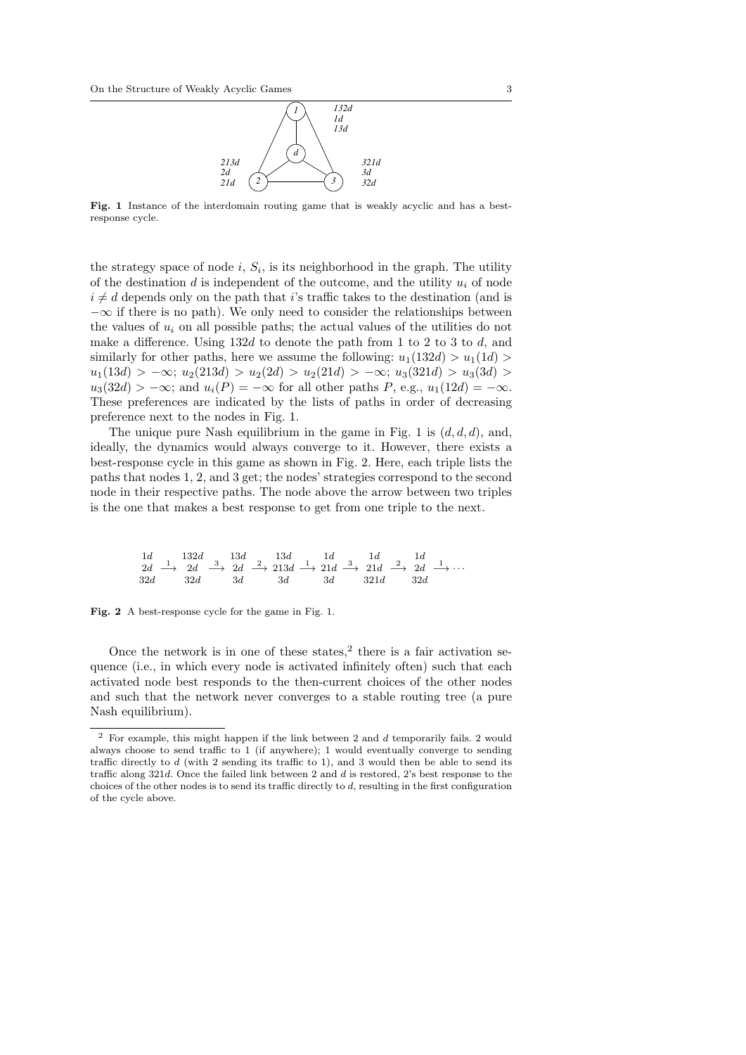

Fig. 1 Instance of the interdomain routing game that is weakly acyclic and has a bestresponse cycle.

the strategy space of node  $i, S_i$ , is its neighborhood in the graph. The utility of the destination  $d$  is independent of the outcome, and the utility  $u_i$  of node  $i \neq d$  depends only on the path that i's traffic takes to the destination (and is  $-\infty$  if there is no path). We only need to consider the relationships between the values of  $u_i$  on all possible paths; the actual values of the utilities do not make a difference. Using  $132d$  to denote the path from 1 to 2 to 3 to d, and similarly for other paths, here we assume the following:  $u_1(132d) > u_1(1d)$  $u_1(13d) > -\infty$ ;  $u_2(213d) > u_2(2d) > u_2(21d) > -\infty$ ;  $u_3(321d) > u_3(3d) >$  $u_3(32d) > -\infty$ ; and  $u_i(P) = -\infty$  for all other paths P, e.g.,  $u_1(12d) = -\infty$ . These preferences are indicated by the lists of paths in order of decreasing preference next to the nodes in Fig. 1.

The unique pure Nash equilibrium in the game in Fig. 1 is  $(d, d, d)$ , and, ideally, the dynamics would always converge to it. However, there exists a best-response cycle in this game as shown in Fig. 2. Here, each triple lists the paths that nodes 1, 2, and 3 get; the nodes' strategies correspond to the second node in their respective paths. The node above the arrow between two triples is the one that makes a best response to get from one triple to the next.

$$
\begin{array}{ccccccccc}\n1d & & 132d & & 13d & & 13d & & 1d & & 1d & & 1d \\
2d & & 2d & & 3d & & 3d & & 21d & & 32d & & 32d & & 32d & & 34\n\end{array}
$$

Fig. 2 A best-response cycle for the game in Fig. 1.

Once the network is in one of these states,<sup>2</sup> there is a fair activation sequence (i.e., in which every node is activated infinitely often) such that each activated node best responds to the then-current choices of the other nodes and such that the network never converges to a stable routing tree (a pure Nash equilibrium).

 $^{\rm 2}$  For example, this might happen if the link between 2 and  $d$  temporarily fails. 2 would always choose to send traffic to 1 (if anywhere); 1 would eventually converge to sending traffic directly to d (with 2 sending its traffic to 1), and 3 would then be able to send its traffic along 321d. Once the failed link between 2 and d is restored, 2's best response to the choices of the other nodes is to send its traffic directly to d, resulting in the first configuration of the cycle above.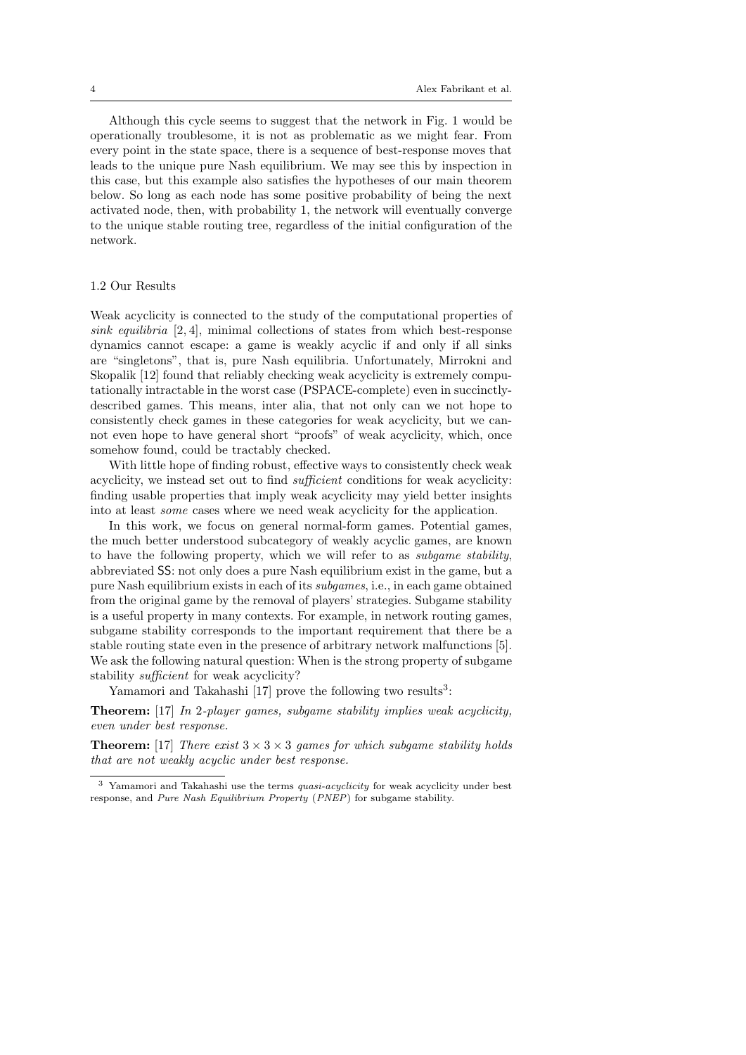Although this cycle seems to suggest that the network in Fig. 1 would be operationally troublesome, it is not as problematic as we might fear. From every point in the state space, there is a sequence of best-response moves that leads to the unique pure Nash equilibrium. We may see this by inspection in this case, but this example also satisfies the hypotheses of our main theorem below. So long as each node has some positive probability of being the next activated node, then, with probability 1, the network will eventually converge to the unique stable routing tree, regardless of the initial configuration of the network.

### 1.2 Our Results

Weak acyclicity is connected to the study of the computational properties of sink equilibria  $[2, 4]$ , minimal collections of states from which best-response dynamics cannot escape: a game is weakly acyclic if and only if all sinks are "singletons", that is, pure Nash equilibria. Unfortunately, Mirrokni and Skopalik [12] found that reliably checking weak acyclicity is extremely computationally intractable in the worst case (PSPACE-complete) even in succinctlydescribed games. This means, inter alia, that not only can we not hope to consistently check games in these categories for weak acyclicity, but we cannot even hope to have general short "proofs" of weak acyclicity, which, once somehow found, could be tractably checked.

With little hope of finding robust, effective ways to consistently check weak acyclicity, we instead set out to find sufficient conditions for weak acyclicity: finding usable properties that imply weak acyclicity may yield better insights into at least some cases where we need weak acyclicity for the application.

In this work, we focus on general normal-form games. Potential games, the much better understood subcategory of weakly acyclic games, are known to have the following property, which we will refer to as subgame stability, abbreviated SS: not only does a pure Nash equilibrium exist in the game, but a pure Nash equilibrium exists in each of its subgames, i.e., in each game obtained from the original game by the removal of players' strategies. Subgame stability is a useful property in many contexts. For example, in network routing games, subgame stability corresponds to the important requirement that there be a stable routing state even in the presence of arbitrary network malfunctions [5]. We ask the following natural question: When is the strong property of subgame stability sufficient for weak acyclicity?

Yamamori and Takahashi [17] prove the following two results<sup>3</sup>:

Theorem: [17] In 2-player games, subgame stability implies weak acyclicity, even under best response.

**Theorem:** [17] There exist  $3 \times 3 \times 3$  games for which subgame stability holds that are not weakly acyclic under best response.

<sup>3</sup> Yamamori and Takahashi use the terms quasi-acyclicity for weak acyclicity under best response, and Pure Nash Equilibrium Property (PNEP) for subgame stability.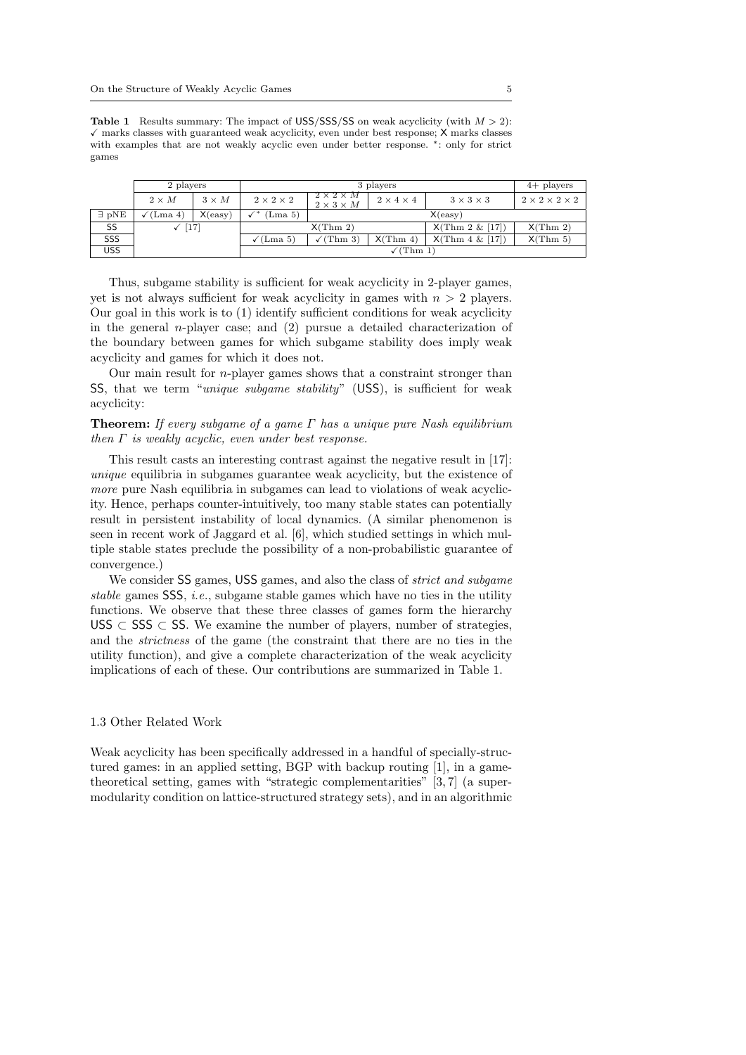**Table 1** Results summary: The impact of USS/SSS/SS on weak acyclicity (with  $M > 2$ ):  $\checkmark$  marks classes with guaranteed weak acyclicity, even under best response;  $X$  marks classes with examples that are not weakly acyclic even under better response. \*: only for strict games

|                         | 2 players    |              |                          | $4+$ players                                   |                       |                       |                                |
|-------------------------|--------------|--------------|--------------------------|------------------------------------------------|-----------------------|-----------------------|--------------------------------|
|                         | $2 \times M$ | $3 \times M$ | $2 \times 2 \times 2$    | $2 \times 2 \times M$<br>$2 \times 3 \times M$ | $2 \times 4 \times 4$ | $3 \times 3 \times 3$ | $2 \times 2 \times 2 \times 2$ |
| $\exists$ pNE           | (Lma 4)      | X(exy)       | (Lma 5)                  |                                                |                       | X(easy)               |                                |
| SS                      | $[17]$       |              | X(Thm 2)                 |                                                |                       | X(Thm 2 & [17])       | X(Thm 2)                       |
| $\overline{\text{SSS}}$ |              |              | $\sqrt{(\text{Lma } 5)}$ | $\sqrt{\text{Thm 3}}$                          | X(Thm 4)              | X(Thm 4 & [17])       | X(Thm 5)                       |
| <b>USS</b>              |              |              | $\sqrt{\text{Thm} 1}$    |                                                |                       |                       |                                |

Thus, subgame stability is sufficient for weak acyclicity in 2-player games, yet is not always sufficient for weak acyclicity in games with  $n > 2$  players. Our goal in this work is to (1) identify sufficient conditions for weak acyclicity in the general *n*-player case; and  $(2)$  pursue a detailed characterization of the boundary between games for which subgame stability does imply weak acyclicity and games for which it does not.

Our main result for  $n$ -player games shows that a constraint stronger than SS, that we term "*unique subgame stability*" (USS), is sufficient for weak acyclicity:

**Theorem:** If every subgame of a game  $\Gamma$  has a unique pure Nash equilibrium then  $\Gamma$  is weakly acyclic, even under best response.

This result casts an interesting contrast against the negative result in [17]: unique equilibria in subgames guarantee weak acyclicity, but the existence of more pure Nash equilibria in subgames can lead to violations of weak acyclicity. Hence, perhaps counter-intuitively, too many stable states can potentially result in persistent instability of local dynamics. (A similar phenomenon is seen in recent work of Jaggard et al. [6], which studied settings in which multiple stable states preclude the possibility of a non-probabilistic guarantee of convergence.)

We consider SS games, USS games, and also the class of *strict and subgame* stable games SSS, i.e., subgame stable games which have no ties in the utility functions. We observe that these three classes of games form the hierarchy USS ⊂ SSS ⊂ SS. We examine the number of players, number of strategies, and the strictness of the game (the constraint that there are no ties in the utility function), and give a complete characterization of the weak acyclicity implications of each of these. Our contributions are summarized in Table 1.

#### 1.3 Other Related Work

Weak acyclicity has been specifically addressed in a handful of specially-structured games: in an applied setting, BGP with backup routing [1], in a gametheoretical setting, games with "strategic complementarities" [3, 7] (a supermodularity condition on lattice-structured strategy sets), and in an algorithmic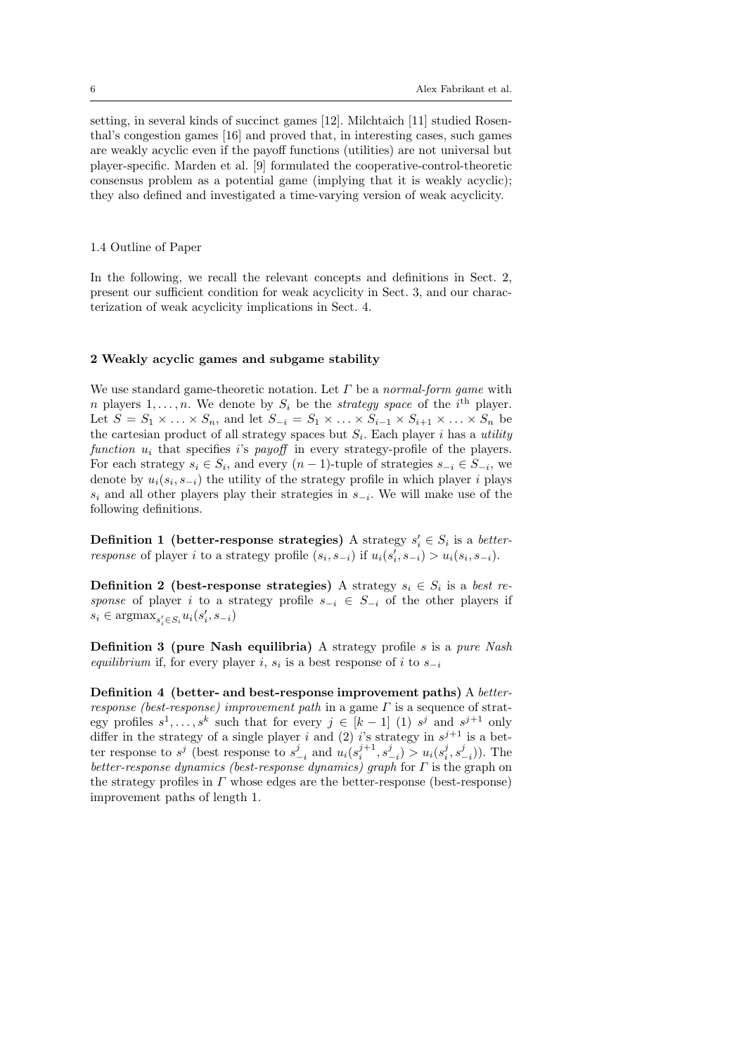setting, in several kinds of succinct games [12]. Milchtaich [11] studied Rosenthal's congestion games [16] and proved that, in interesting cases, such games are weakly acyclic even if the payoff functions (utilities) are not universal but player-specific. Marden et al. [9] formulated the cooperative-control-theoretic consensus problem as a potential game (implying that it is weakly acyclic); they also defined and investigated a time-varying version of weak acyclicity.

## 1.4 Outline of Paper

In the following, we recall the relevant concepts and definitions in Sect. 2, present our sufficient condition for weak acyclicity in Sect. 3, and our characterization of weak acyclicity implications in Sect. 4.

## 2 Weakly acyclic games and subgame stability

We use standard game-theoretic notation. Let  $\Gamma$  be a normal-form game with *n* players  $1, \ldots, n$ . We denote by  $S_i$  be the *strategy space* of the *i*<sup>th</sup> player. Let  $S = S_1 \times \ldots \times S_n$ , and let  $S_{-i} = S_1 \times \ldots \times S_{i-1} \times S_{i+1} \times \ldots \times S_n$  be the cartesian product of all strategy spaces but  $S_i$ . Each player i has a utility function  $u_i$  that specifies is payoff in every strategy-profile of the players. For each strategy  $s_i \in S_i$ , and every  $(n-1)$ -tuple of strategies  $s_{-i} \in S_{-i}$ , we denote by  $u_i(s_i, s_{-i})$  the utility of the strategy profile in which player i plays  $s_i$  and all other players play their strategies in  $s_{-i}$ . We will make use of the following definitions.

**Definition 1** (better-response strategies) A strategy  $s_i' \in S_i$  is a betterresponse of player i to a strategy profile  $(s_i, s_{-i})$  if  $u_i(s'_i, s_{-i}) > u_i(s_i, s_{-i})$ .

**Definition 2** (best-response strategies) A strategy  $s_i \in S_i$  is a best response of player i to a strategy profile  $s_{-i} \in S_{-i}$  of the other players if  $s_i \in \text{argmax}_{s_i' \in S_i} u_i(s_i', s_{-i})$ 

**Definition 3 (pure Nash equilibria)** A strategy profile  $s$  is a pure Nash equilibrium if, for every player i,  $s_i$  is a best response of i to  $s_{-i}$ 

Definition 4 (better- and best-response improvement paths) A betterresponse (best-response) improvement path in a game  $\Gamma$  is a sequence of strategy profiles  $s^1, \ldots, s^k$  such that for every  $j \in [k-1]$  (1)  $s^j$  and  $s^{j+1}$  only differ in the strategy of a single player i and (2) i's strategy in  $s^{j+1}$  is a better response to  $s^j$  (best response to  $s^j_{-i}$  and  $u_i(s_i^{j+1}, s_{-i}^j) > u_i(s_i^j, s_{-i}^j)$ ). The better-response dynamics (best-response dynamics) graph for  $\Gamma$  is the graph on the strategy profiles in  $\Gamma$  whose edges are the better-response (best-response) improvement paths of length 1.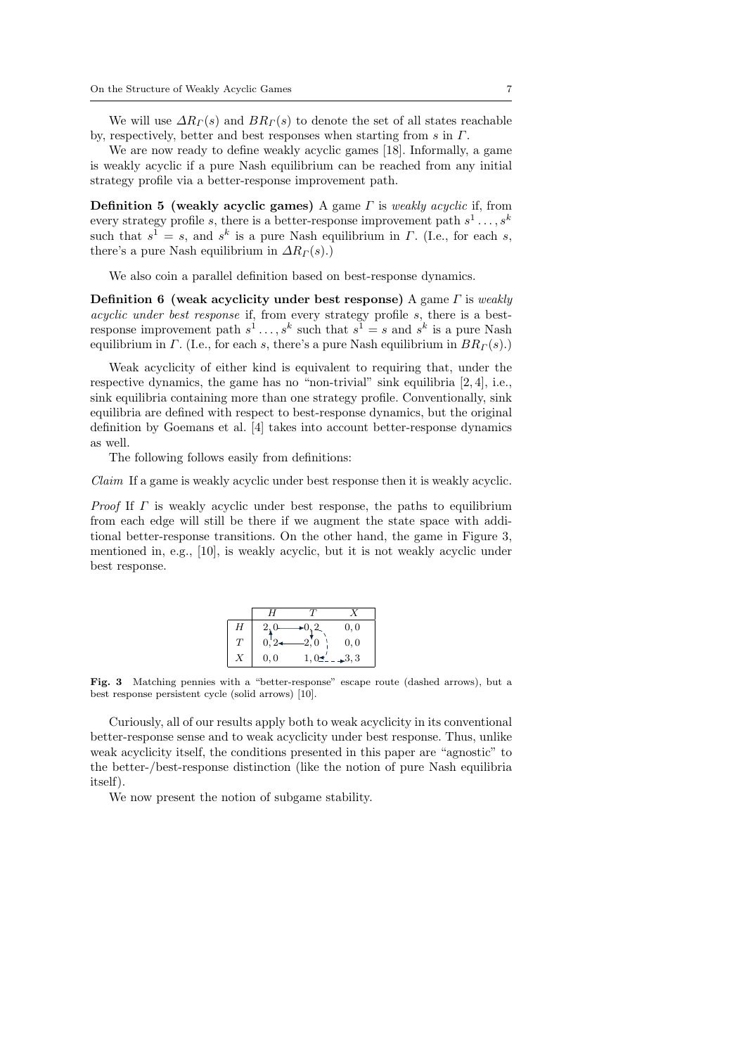We will use  $\Delta R_{\Gamma}(s)$  and  $BR_{\Gamma}(s)$  to denote the set of all states reachable by, respectively, better and best responses when starting from s in Γ.

We are now ready to define weakly acyclic games [18]. Informally, a game is weakly acyclic if a pure Nash equilibrium can be reached from any initial strategy profile via a better-response improvement path.

**Definition 5 (weakly acyclic games)** A game  $\Gamma$  is weakly acyclic if, from every strategy profile s, there is a better-response improvement path  $s^1 \dots, s^k$ such that  $s^1 = s$ , and  $s^k$  is a pure Nash equilibrium in  $\Gamma$ . (I.e., for each s, there's a pure Nash equilibrium in  $\Delta R_{\Gamma}(s)$ .)

We also coin a parallel definition based on best-response dynamics.

Definition 6 (weak acyclicity under best response) A game  $\Gamma$  is weakly acyclic under best response if, from every strategy profile s, there is a bestresponse improvement path  $s^1 \dots, s^k$  such that  $s^1 = s$  and  $s^k$  is a pure Nash equilibrium in  $\Gamma$ . (I.e., for each s, there's a pure Nash equilibrium in  $BR_{\Gamma}(s)$ .)

Weak acyclicity of either kind is equivalent to requiring that, under the respective dynamics, the game has no "non-trivial" sink equilibria [2, 4], i.e., sink equilibria containing more than one strategy profile. Conventionally, sink equilibria are defined with respect to best-response dynamics, but the original definition by Goemans et al. [4] takes into account better-response dynamics as well.

The following follows easily from definitions:

Claim If a game is weakly acyclic under best response then it is weakly acyclic.

*Proof* If  $\Gamma$  is weakly acyclic under best response, the paths to equilibrium from each edge will still be there if we augment the state space with additional better-response transitions. On the other hand, the game in Figure 3, mentioned in, e.g., [10], is weakly acyclic, but it is not weakly acyclic under best response.

|   | H       |      |      |
|---|---------|------|------|
| Η | 2,0     |      | 0,0  |
| T | $0, 2-$ | 2,0  | 0, 0 |
|   | 0,0     | 1,0: | 3,3  |

Fig. 3 Matching pennies with a "better-response" escape route (dashed arrows), but a best response persistent cycle (solid arrows) [10].

Curiously, all of our results apply both to weak acyclicity in its conventional better-response sense and to weak acyclicity under best response. Thus, unlike weak acyclicity itself, the conditions presented in this paper are "agnostic" to the better-/best-response distinction (like the notion of pure Nash equilibria itself).

We now present the notion of subgame stability.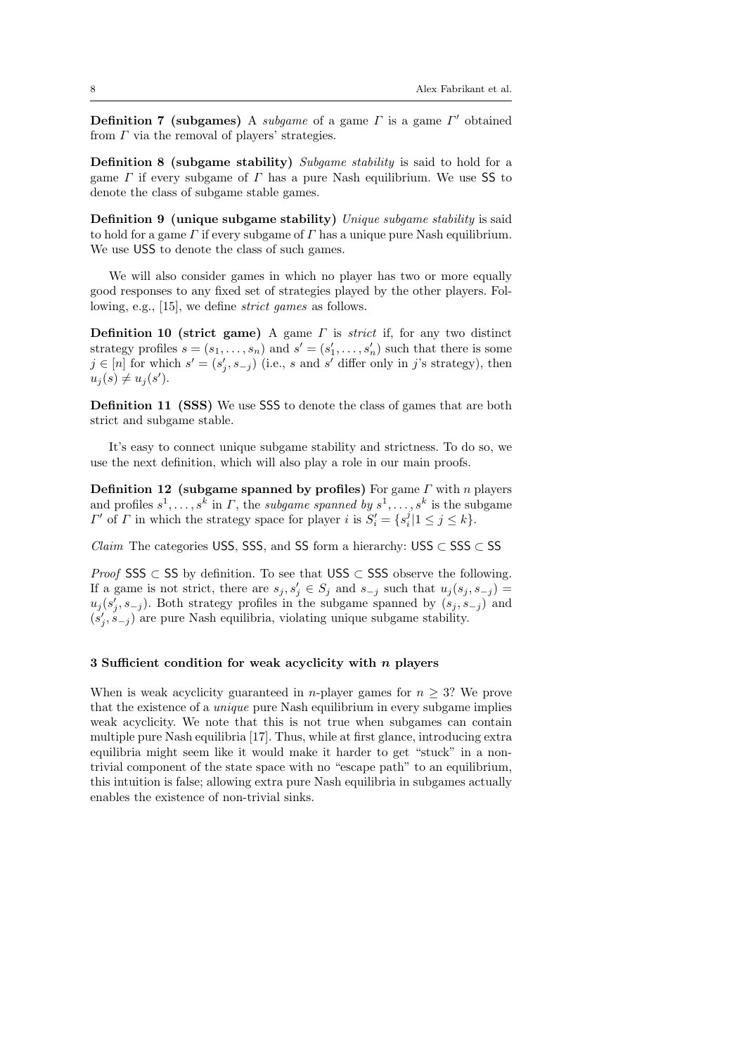**Definition 7** (subgames) A subgame of a game  $\Gamma$  is a game  $\Gamma'$  obtained from  $\Gamma$  via the removal of players' strategies.

Definition 8 (subgame stability) Subgame stability is said to hold for a game  $\Gamma$  if every subgame of  $\Gamma$  has a pure Nash equilibrium. We use SS to denote the class of subgame stable games.

Definition 9 (unique subgame stability) Unique subgame stability is said to hold for a game  $\Gamma$  if every subgame of  $\Gamma$  has a unique pure Nash equilibrium. We use USS to denote the class of such games.

We will also consider games in which no player has two or more equally good responses to any fixed set of strategies played by the other players. Following, e.g., [15], we define strict games as follows.

**Definition 10 (strict game)** A game  $\Gamma$  is *strict* if, for any two distinct strategy profiles  $s = (s_1, \ldots, s_n)$  and  $s' = (s'_1, \ldots, s'_n)$  such that there is some  $j \in [n]$  for which  $s' = (s'_j, s_{-j})$  (i.e., s and s' differ only in j's strategy), then  $u_j(s) \neq u_j(s')$ .

Definition 11 (SSS) We use SSS to denote the class of games that are both strict and subgame stable.

It's easy to connect unique subgame stability and strictness. To do so, we use the next definition, which will also play a role in our main proofs.

Definition 12 (subgame spanned by profiles) For game  $\Gamma$  with n players and profiles  $s^1, \ldots, s^k$  in  $\Gamma$ , the *subgame spanned by*  $s^1, \ldots, s^k$  is the subgame  $\Gamma'$  of  $\Gamma$  in which the strategy space for player i is  $S_i' = \{s_i^j | 1 \leq j \leq k\}.$ 

*Claim* The categories USS, SSS, and SS form a hierarchy: USS  $\subset$  SSS  $\subset$  SS

*Proof* SSS  $\subset$  SS by definition. To see that USS  $\subset$  SSS observe the following. If a game is not strict, there are  $s_j, s'_j \in S_j$  and  $s_{-j}$  such that  $u_j(s_j, s_{-j}) =$  $u_j(s'_j, s_{-j})$ . Both strategy profiles in the subgame spanned by  $(s_j, s_{-j})$  and  $(s'_{j}, s_{-j})$  are pure Nash equilibria, violating unique subgame stability.

#### 3 Sufficient condition for weak acyclicity with  $n$  players

When is weak acyclicity guaranteed in *n*-player games for  $n \geq 3$ ? We prove that the existence of a unique pure Nash equilibrium in every subgame implies weak acyclicity. We note that this is not true when subgames can contain multiple pure Nash equilibria [17]. Thus, while at first glance, introducing extra equilibria might seem like it would make it harder to get "stuck" in a nontrivial component of the state space with no "escape path" to an equilibrium, this intuition is false; allowing extra pure Nash equilibria in subgames actually enables the existence of non-trivial sinks.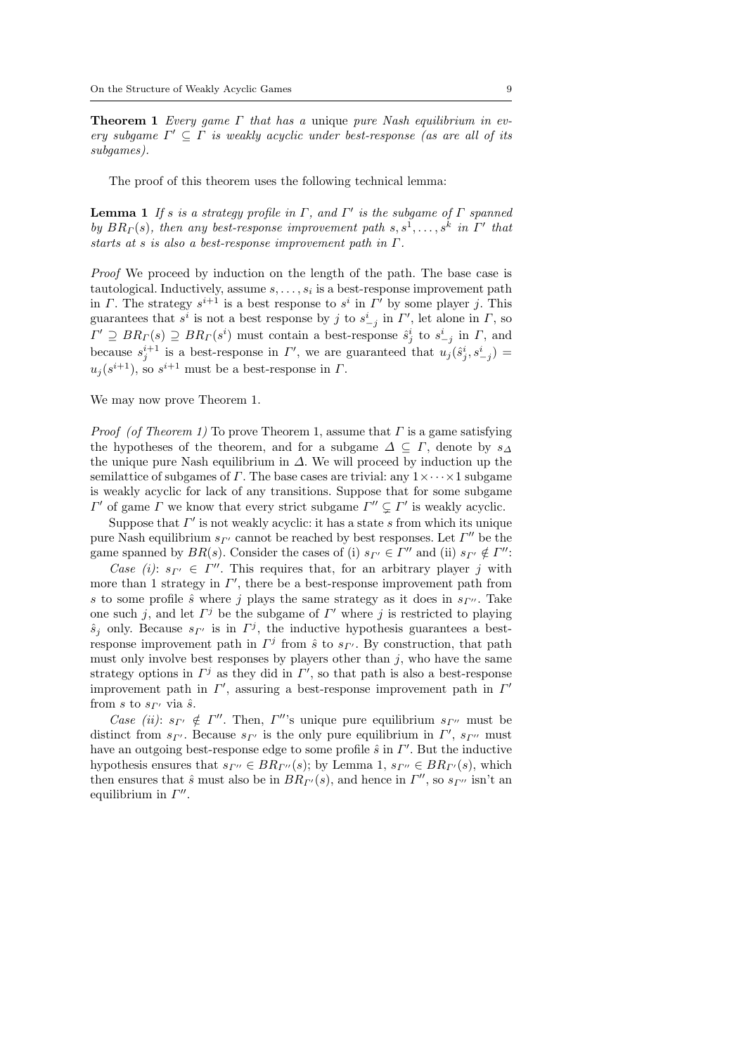**Theorem 1** Every game  $\Gamma$  that has a unique pure Nash equilibrium in every subgame  $\Gamma' \subseteq \Gamma$  is weakly acyclic under best-response (as are all of its subgames).

The proof of this theorem uses the following technical lemma:

**Lemma 1** If s is a strategy profile in  $\Gamma$ , and  $\Gamma'$  is the subgame of  $\Gamma$  spanned by  $BR<sub>\Gamma</sub>(s)$ , then any best-response improvement path  $s, s<sup>1</sup>, \ldots, s<sup>k</sup>$  in  $\Gamma'$  that starts at s is also a best-response improvement path in Γ.

Proof We proceed by induction on the length of the path. The base case is tautological. Inductively, assume  $s, \ldots, s_i$  is a best-response improvement path in Γ. The strategy  $s^{i+1}$  is a best response to  $s^i$  in Γ' by some player j. This guarantees that  $s^i$  is not a best response by j to  $s^i_{-j}$  in  $\Gamma'$ , let alone in  $\Gamma$ , so  $\Gamma' \supseteq BR_\Gamma(s) \supseteq BR_\Gamma(s^i)$  must contain a best-response  $\hat{s}^i_j$  to  $s^i_{-j}$  in  $\Gamma$ , and because  $s_j^{i+1}$  is a best-response in  $\Gamma'$ , we are guaranteed that  $u_j(\hat{s}_j^i, s_{-j}^i)$  $u_j(s^{i+1})$ , so  $s^{i+1}$  must be a best-response in  $\Gamma$ .

We may now prove Theorem 1.

*Proof (of Theorem 1)* To prove Theorem 1, assume that  $\Gamma$  is a game satisfying the hypotheses of the theorem, and for a subgame  $\Delta \subseteq \Gamma$ , denote by  $s_{\Delta}$ the unique pure Nash equilibrium in  $\Delta$ . We will proceed by induction up the semilattice of subgames of  $\Gamma$ . The base cases are trivial: any  $1 \times \cdots \times 1$  subgame is weakly acyclic for lack of any transitions. Suppose that for some subgame  $\Gamma'$  of game Γ we know that every strict subgame  $\Gamma'' \subsetneq \Gamma'$  is weakly acyclic.

Suppose that  $\Gamma'$  is not weakly acyclic: it has a state s from which its unique pure Nash equilibrium  $s_{\Gamma'}$  cannot be reached by best responses. Let  $\Gamma''$  be the game spanned by  $BR(s)$ . Consider the cases of (i)  $s_{\Gamma'} \in \Gamma''$  and (ii)  $s_{\Gamma'} \notin \Gamma''$ :

Case (i):  $s_{\Gamma'} \in \Gamma''$ . This requires that, for an arbitrary player j with more than 1 strategy in  $\Gamma'$ , there be a best-response improvement path from s to some profile  $\hat{s}$  where j plays the same strategy as it does in  $s_{\Gamma}$ . Take one such j, and let  $\Gamma^j$  be the subgame of  $\Gamma'$  where j is restricted to playing  $\hat{s}_j$  only. Because  $s_{\Gamma'}$  is in  $\Gamma^j$ , the inductive hypothesis guarantees a bestresponse improvement path in  $\Gamma^j$  from  $\hat{s}$  to  $s_{\Gamma'}$ . By construction, that path must only involve best responses by players other than  $j$ , who have the same strategy options in  $\Gamma^j$  as they did in  $\Gamma'$ , so that path is also a best-response improvement path in  $\Gamma'$ , assuring a best-response improvement path in  $\Gamma'$ from s to  $s_{\Gamma'}$  via  $\hat{s}$ .

Case (ii):  $s_{\Gamma'} \notin \Gamma''$ . Then,  $\Gamma''$ 's unique pure equilibrium  $s_{\Gamma''}$  must be distinct from  $s_{\Gamma'}$ . Because  $s_{\Gamma'}$  is the only pure equilibrium in  $\Gamma'$ ,  $s_{\Gamma''}$  must have an outgoing best-response edge to some profile  $\hat{s}$  in  $\Gamma'$ . But the inductive hypothesis ensures that  $s_{\Gamma''} \in BR_{\Gamma''}(s)$ ; by Lemma 1,  $s_{\Gamma''} \in BR_{\Gamma'}(s)$ , which then ensures that  $\hat{s}$  must also be in  $BR_{\Gamma'}(s)$ , and hence in  $\Gamma''$ , so  $s_{\Gamma''}$  isn't an equilibrium in  $\Gamma''$ .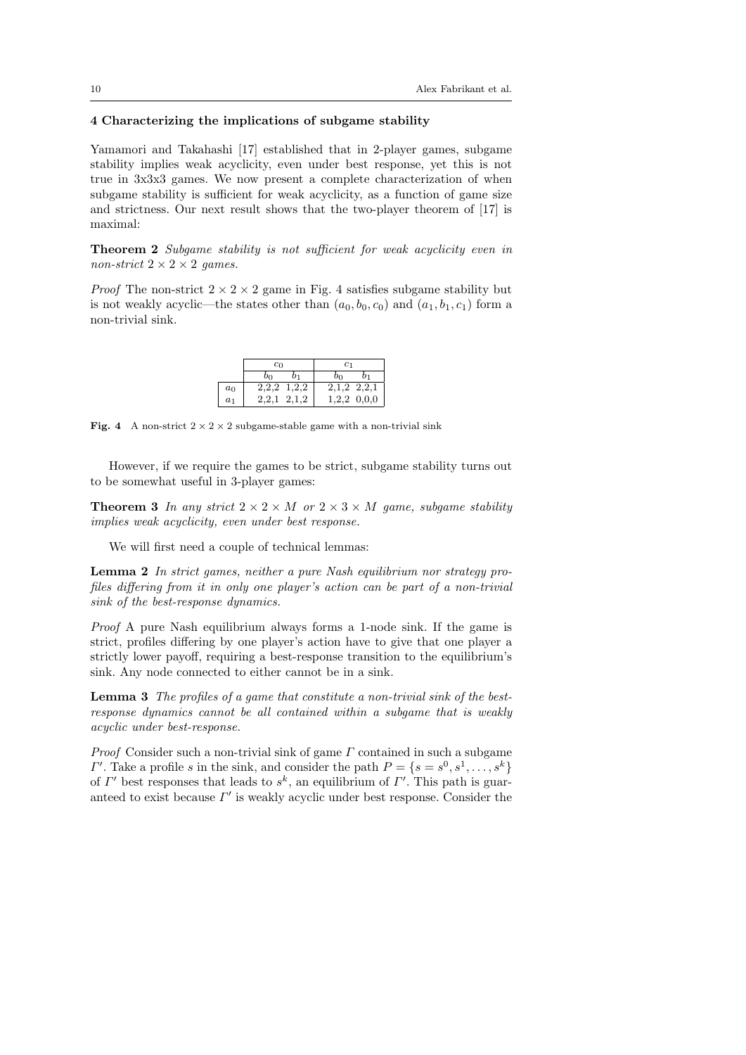# 4 Characterizing the implications of subgame stability

Yamamori and Takahashi [17] established that in 2-player games, subgame stability implies weak acyclicity, even under best response, yet this is not true in 3x3x3 games. We now present a complete characterization of when subgame stability is sufficient for weak acyclicity, as a function of game size and strictness. Our next result shows that the two-player theorem of [17] is maximal:

Theorem 2 Subgame stability is not sufficient for weak acyclicity even in non-strict  $2 \times 2 \times 2$  games.

*Proof* The non-strict  $2 \times 2 \times 2$  game in Fig. 4 satisfies subgame stability but is not weakly acyclic—the states other than  $(a_0, b_0, c_0)$  and  $(a_1, b_1, c_1)$  form a non-trivial sink.

|                | $c_0$          | C1              |  |  |
|----------------|----------------|-----------------|--|--|
|                | oη             | OΩ              |  |  |
| $a_0$          | $2,2,2$ 1,2,2  | $2,1,2$ $2,2,1$ |  |  |
| a <sub>1</sub> | 2.1.2<br>2.2.1 | $1,2,2$ 0,0,0   |  |  |

Fig. 4 A non-strict  $2 \times 2 \times 2$  subgame-stable game with a non-trivial sink

However, if we require the games to be strict, subgame stability turns out to be somewhat useful in 3-player games:

**Theorem 3** In any strict  $2 \times 2 \times M$  or  $2 \times 3 \times M$  game, subgame stability implies weak acyclicity, even under best response.

We will first need a couple of technical lemmas:

Lemma 2 In strict games, neither a pure Nash equilibrium nor strategy profiles differing from it in only one player's action can be part of a non-trivial sink of the best-response dynamics.

Proof A pure Nash equilibrium always forms a 1-node sink. If the game is strict, profiles differing by one player's action have to give that one player a strictly lower payoff, requiring a best-response transition to the equilibrium's sink. Any node connected to either cannot be in a sink.

Lemma 3 The profiles of a game that constitute a non-trivial sink of the bestresponse dynamics cannot be all contained within a subgame that is weakly acyclic under best-response.

*Proof* Consider such a non-trivial sink of game  $\Gamma$  contained in such a subgame  $\Gamma'$ . Take a profile s in the sink, and consider the path  $P = \{s = s^0, s^1, \ldots, s^k\}$ of  $\Gamma'$  best responses that leads to  $s^k$ , an equilibrium of  $\Gamma'$ . This path is guaranteed to exist because  $\Gamma'$  is weakly acyclic under best response. Consider the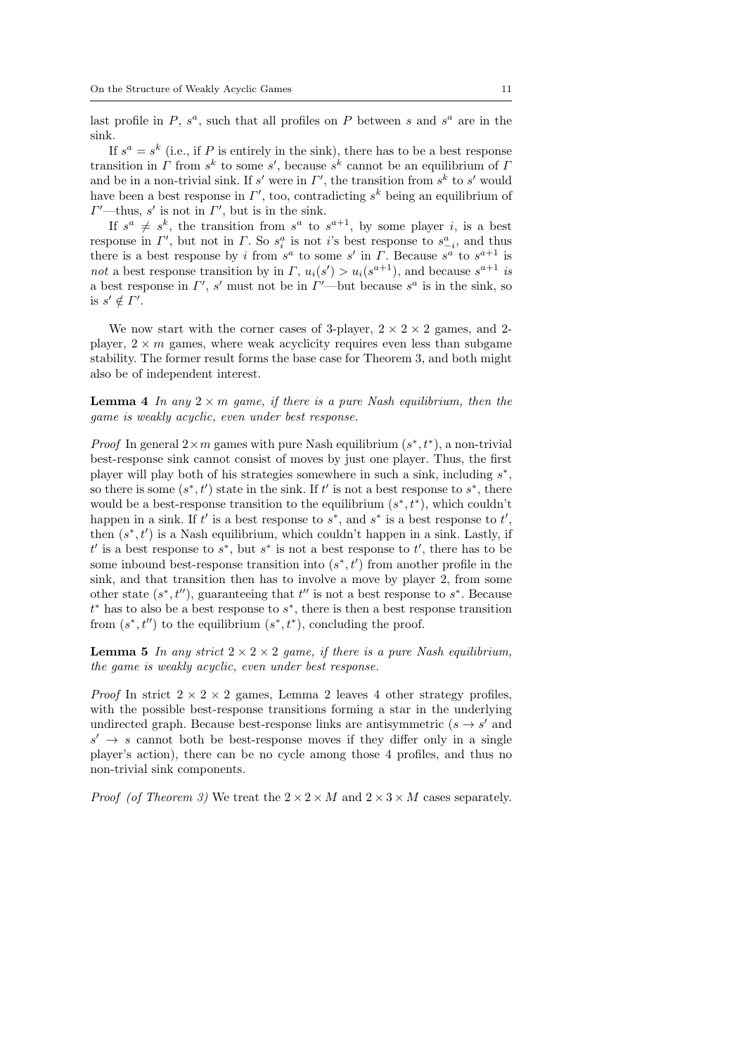last profile in  $P$ ,  $s^a$ , such that all profiles on  $P$  between  $s$  and  $s^a$  are in the sink.

If  $s^a = s^k$  (i.e., if P is entirely in the sink), there has to be a best response transition in  $\Gamma$  from  $s^k$  to some  $s'$ , because  $s^k$  cannot be an equilibrium of  $\Gamma$ and be in a non-trivial sink. If s' were in  $\Gamma'$ , the transition from  $s^k$  to s' would have been a best response in  $\Gamma'$ , too, contradicting  $s^k$  being an equilibrium of  $\Gamma'$ —thus, s' is not in  $\Gamma'$ , but is in the sink.

If  $s^a \neq s^k$ , the transition from  $s^a$  to  $s^{a+1}$ , by some player *i*, is a best response in  $\Gamma'$ , but not in  $\Gamma$ . So  $s_i^a$  is not i's best response to  $s_{-i}^a$ , and thus there is a best response by i from  $s^a$  to some  $s'$  in  $\Gamma$ . Because  $s^a$  to  $s^{a+1}$  is not a best response transition by in  $\Gamma$ ,  $u_i(s') > u_i(s^{a+1})$ , and because  $s^{a+1}$  is a best response in  $\Gamma'$ , s' must not be in  $\Gamma'$ —but because s<sup>a</sup> is in the sink, so is  $s' \notin \Gamma'$ .

We now start with the corner cases of 3-player,  $2 \times 2 \times 2$  games, and 2player,  $2 \times m$  games, where weak acyclicity requires even less than subgame stability. The former result forms the base case for Theorem 3, and both might also be of independent interest.

**Lemma 4** In any  $2 \times m$  game, if there is a pure Nash equilibrium, then the game is weakly acyclic, even under best response.

*Proof* In general  $2 \times m$  games with pure Nash equilibrium  $(s^*, t^*)$ , a non-trivial best-response sink cannot consist of moves by just one player. Thus, the first player will play both of his strategies somewhere in such a sink, including  $s^*$ , so there is some  $(s^*, t')$  state in the sink. If t' is not a best response to  $s^*$ , there would be a best-response transition to the equilibrium  $(s^*, t^*)$ , which couldn't happen in a sink. If  $t'$  is a best response to  $s^*$ , and  $s^*$  is a best response to  $t'$ , then  $(s^*, t')$  is a Nash equilibrium, which couldn't happen in a sink. Lastly, if  $t'$  is a best response to  $s^*$ , but  $s^*$  is not a best response to  $t'$ , there has to be some inbound best-response transition into  $(s^*, t')$  from another profile in the sink, and that transition then has to involve a move by player 2, from some other state  $(s^*, t'')$ , guaranteeing that  $t''$  is not a best response to  $s^*$ . Because  $t^*$  has to also be a best response to  $s^*$ , there is then a best response transition from  $(s^*, t'')$  to the equilibrium  $(s^*, t^*)$ , concluding the proof.

**Lemma 5** In any strict  $2 \times 2 \times 2$  game, if there is a pure Nash equilibrium, the game is weakly acyclic, even under best response.

*Proof* In strict  $2 \times 2 \times 2$  games, Lemma 2 leaves 4 other strategy profiles, with the possible best-response transitions forming a star in the underlying undirected graph. Because best-response links are antisymmetric  $(s \rightarrow s'$  and  $s' \rightarrow s$  cannot both be best-response moves if they differ only in a single player's action), there can be no cycle among those 4 profiles, and thus no non-trivial sink components.

*Proof (of Theorem 3)* We treat the  $2 \times 2 \times M$  and  $2 \times 3 \times M$  cases separately.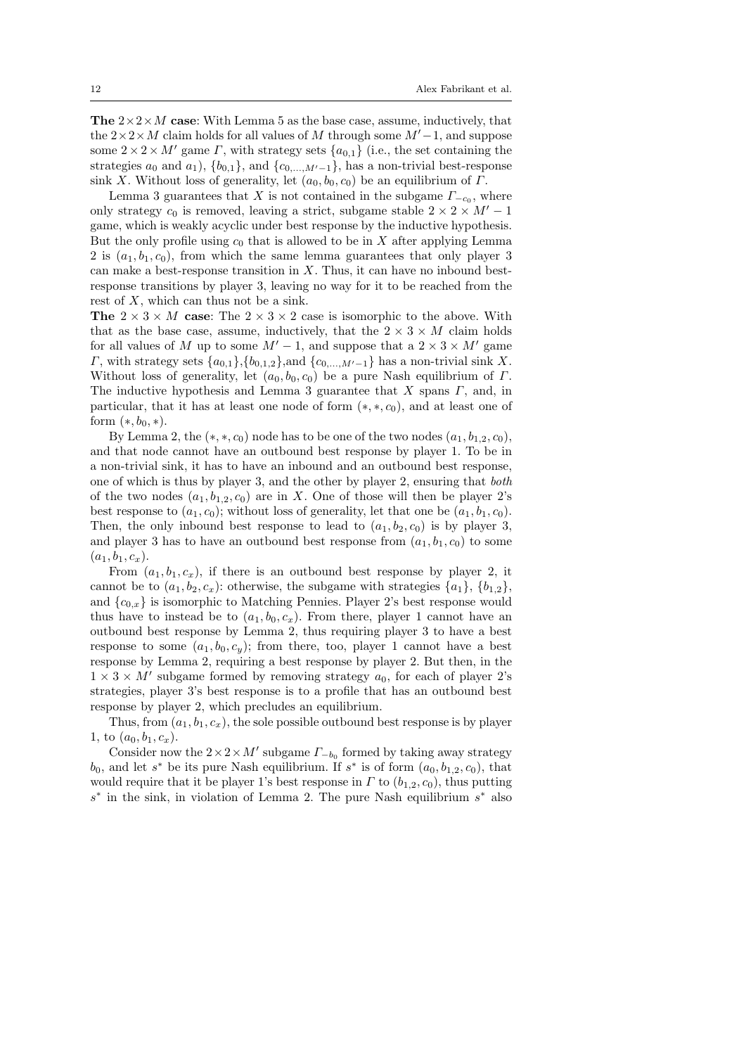**The**  $2 \times 2 \times M$  case: With Lemma 5 as the base case, assume, inductively, that the  $2 \times 2 \times M$  claim holds for all values of M through some  $M'-1$ , and suppose some  $2 \times 2 \times M'$  game  $\Gamma$ , with strategy sets  $\{a_{0,1}\}\$  (i.e., the set containing the strategies  $a_0$  and  $a_1$ ,  $\{b_{0,1}\}\$ , and  $\{c_{0,\dots,M'-1}\}\$ , has a non-trivial best-response sink X. Without loss of generality, let  $(a_0, b_0, c_0)$  be an equilibrium of  $\Gamma$ .

Lemma 3 guarantees that X is not contained in the subgame  $\Gamma_{-c_0}$ , where only strategy  $c_0$  is removed, leaving a strict, subgame stable  $2 \times 2 \times M' - 1$ game, which is weakly acyclic under best response by the inductive hypothesis. But the only profile using  $c_0$  that is allowed to be in X after applying Lemma 2 is  $(a_1, b_1, c_0)$ , from which the same lemma guarantees that only player 3 can make a best-response transition in  $X$ . Thus, it can have no inbound bestresponse transitions by player 3, leaving no way for it to be reached from the rest of X, which can thus not be a sink.

The  $2 \times 3 \times M$  case: The  $2 \times 3 \times 2$  case is isomorphic to the above. With that as the base case, assume, inductively, that the  $2 \times 3 \times M$  claim holds for all values of M up to some  $M'-1$ , and suppose that a  $2 \times 3 \times M'$  game Γ, with strategy sets  ${a_{0,1}, {b_{0,1,2}},$  and  ${c_{0,...,M'-1}}$  has a non-trivial sink X. Without loss of generality, let  $(a_0, b_0, c_0)$  be a pure Nash equilibrium of  $\Gamma$ . The inductive hypothesis and Lemma 3 guarantee that  $X$  spans  $\Gamma$ , and, in particular, that it has at least one node of form  $(*,*,c_0)$ , and at least one of form  $(*, b_0, *)$ .

By Lemma 2, the  $(*,*,c_0)$  node has to be one of the two nodes  $(a_1,b_{1,2},c_0)$ , and that node cannot have an outbound best response by player 1. To be in a non-trivial sink, it has to have an inbound and an outbound best response, one of which is thus by player 3, and the other by player 2, ensuring that both of the two nodes  $(a_1, b_1, a_2, c_0)$  are in X. One of those will then be player 2's best response to  $(a_1, c_0)$ ; without loss of generality, let that one be  $(a_1, b_1, c_0)$ . Then, the only inbound best response to lead to  $(a_1, b_2, c_0)$  is by player 3, and player 3 has to have an outbound best response from  $(a_1, b_1, c_0)$  to some  $(a_1, b_1, c_x).$ 

From  $(a_1, b_1, c_x)$ , if there is an outbound best response by player 2, it cannot be to  $(a_1, b_2, c_x)$ : otherwise, the subgame with strategies  $\{a_1\}, \{b_1, b_2\}$ , and  ${c_{0,x}}$  is isomorphic to Matching Pennies. Player 2's best response would thus have to instead be to  $(a_1, b_0, c_x)$ . From there, player 1 cannot have an outbound best response by Lemma 2, thus requiring player 3 to have a best response to some  $(a_1, b_0, c_y)$ ; from there, too, player 1 cannot have a best response by Lemma 2, requiring a best response by player 2. But then, in the  $1 \times 3 \times M'$  subgame formed by removing strategy  $a_0$ , for each of player 2's strategies, player 3's best response is to a profile that has an outbound best response by player 2, which precludes an equilibrium.

Thus, from  $(a_1, b_1, c_x)$ , the sole possible outbound best response is by player 1, to  $(a_0, b_1, c_x)$ .

Consider now the  $2 \times 2 \times M'$  subgame  $\Gamma_{-b_0}$  formed by taking away strategy  $b_0$ , and let s<sup>\*</sup> be its pure Nash equilibrium. If s<sup>\*</sup> is of form  $(a_0, b_{1,2}, c_0)$ , that would require that it be player 1's best response in  $\Gamma$  to  $(b_{1,2}, c_0)$ , thus putting  $s^*$  in the sink, in violation of Lemma 2. The pure Nash equilibrium  $s^*$  also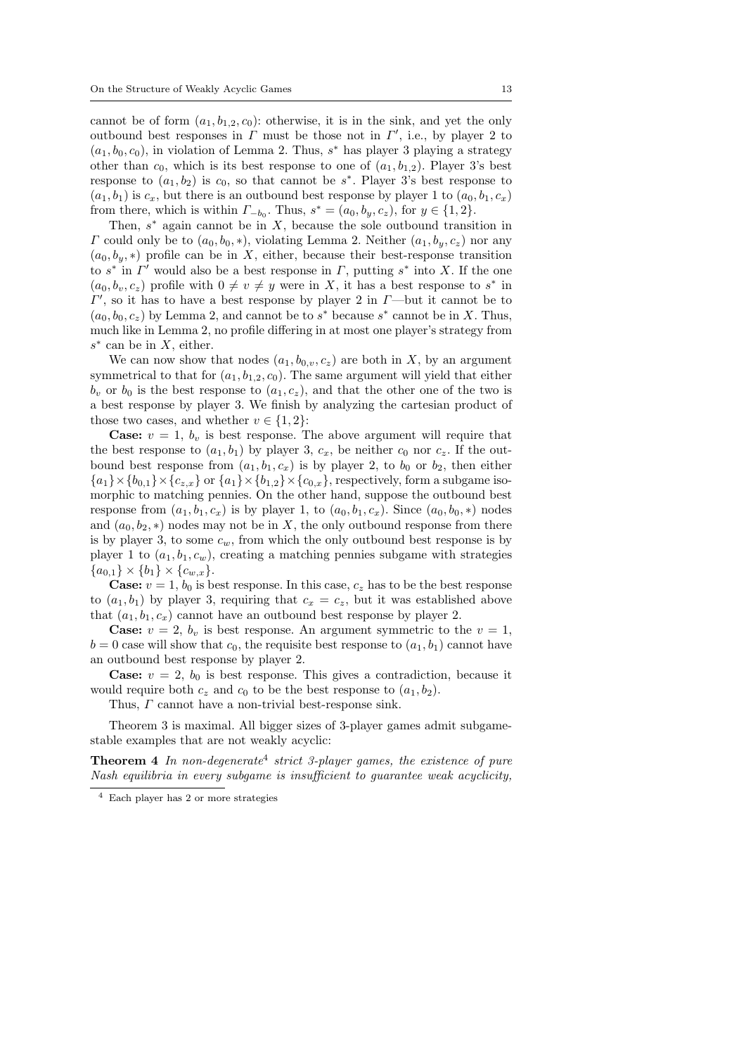cannot be of form  $(a_1, b_1, a_2, c_0)$ : otherwise, it is in the sink, and yet the only outbound best responses in  $\Gamma$  must be those not in  $\Gamma'$ , i.e., by player 2 to  $(a_1, b_0, c_0)$ , in violation of Lemma 2. Thus, s<sup>\*</sup> has player 3 playing a strategy other than  $c_0$ , which is its best response to one of  $(a_1, b_{1,2})$ . Player 3's best response to  $(a_1, b_2)$  is  $c_0$ , so that cannot be  $s^*$ . Player 3's best response to  $(a_1, b_1)$  is  $c_x$ , but there is an outbound best response by player 1 to  $(a_0, b_1, c_x)$ from there, which is within  $\Gamma_{-b_0}$ . Thus,  $s^* = (a_0, b_y, c_z)$ , for  $y \in \{1, 2\}$ .

Then,  $s^*$  again cannot be in  $X$ , because the sole outbound transition in  $\Gamma$  could only be to  $(a_0, b_0, \ast)$ , violating Lemma 2. Neither  $(a_1, b_v, c_z)$  nor any  $(a_0, b_n, *)$  profile can be in X, either, because their best-response transition to  $s^*$  in  $\Gamma'$  would also be a best response in  $\Gamma$ , putting  $s^*$  into X. If the one  $(a_0, b_v, c_z)$  profile with  $0 \neq v \neq y$  were in X, it has a best response to  $s^*$  in  $\Gamma'$ , so it has to have a best response by player 2 in  $\Gamma$ —but it cannot be to  $(a_0, b_0, c_z)$  by Lemma 2, and cannot be to  $s^*$  because  $s^*$  cannot be in X. Thus, much like in Lemma 2, no profile differing in at most one player's strategy from  $s^*$  can be in X, either.

We can now show that nodes  $(a_1, b_0, c_2)$  are both in X, by an argument symmetrical to that for  $(a_1, b_{1,2}, c_0)$ . The same argument will yield that either  $b_v$  or  $b_0$  is the best response to  $(a_1, c_z)$ , and that the other one of the two is a best response by player 3. We finish by analyzing the cartesian product of those two cases, and whether  $v \in \{1, 2\}$ :

**Case:**  $v = 1$ ,  $b<sub>v</sub>$  is best response. The above argument will require that the best response to  $(a_1, b_1)$  by player 3,  $c_x$ , be neither  $c_0$  nor  $c_z$ . If the outbound best response from  $(a_1, b_1, c_x)$  is by player 2, to  $b_0$  or  $b_2$ , then either  ${a_1}\times{b_{0,1}}\times{c_{z,x}}$  or  ${a_1}\times{b_{1,2}}\times{c_{0,x}}$ , respectively, form a subgame isomorphic to matching pennies. On the other hand, suppose the outbound best response from  $(a_1, b_1, c_x)$  is by player 1, to  $(a_0, b_1, c_x)$ . Since  $(a_0, b_0, *)$  nodes and  $(a_0, b_2, *)$  nodes may not be in X, the only outbound response from there is by player 3, to some  $c_w$ , from which the only outbound best response is by player 1 to  $(a_1, b_1, c_w)$ , creating a matching pennies subgame with strategies  ${a_{0,1}} \times {b_1} \times {c_{w,x}}.$ 

**Case:**  $v = 1$ ,  $b_0$  is best response. In this case,  $c_z$  has to be the best response to  $(a_1, b_1)$  by player 3, requiring that  $c_x = c_z$ , but it was established above that  $(a_1, b_1, c_x)$  cannot have an outbound best response by player 2.

**Case:**  $v = 2$ ,  $b_v$  is best response. An argument symmetric to the  $v = 1$ ,  $b = 0$  case will show that  $c_0$ , the requisite best response to  $(a_1, b_1)$  cannot have an outbound best response by player 2.

**Case:**  $v = 2$ ,  $b_0$  is best response. This gives a contradiction, because it would require both  $c_z$  and  $c_0$  to be the best response to  $(a_1, b_2)$ .

Thus, Γ cannot have a non-trivial best-response sink.

Theorem 3 is maximal. All bigger sizes of 3-player games admit subgamestable examples that are not weakly acyclic:

**Theorem 4** In non-degenerate<sup>4</sup> strict 3-player games, the existence of pure Nash equilibria in every subgame is insufficient to guarantee weak acyclicity,

<sup>4</sup> Each player has 2 or more strategies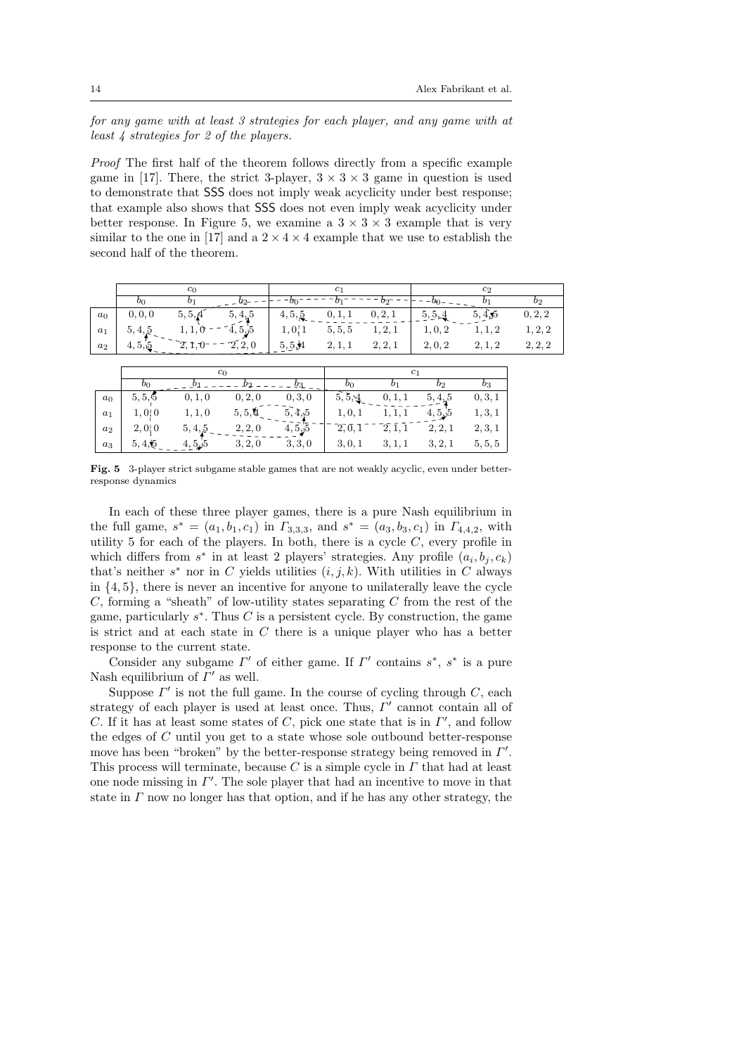for any game with at least 3 strategies for each player, and any game with at least 4 strategies for 2 of the players.

Proof The first half of the theorem follows directly from a specific example game in [17]. There, the strict 3-player,  $3 \times 3 \times 3$  game in question is used to demonstrate that SSS does not imply weak acyclicity under best response; that example also shows that SSS does not even imply weak acyclicity under better response. In Figure 5, we examine a  $3 \times 3 \times 3$  example that is very similar to the one in [17] and a  $2 \times 4 \times 4$  example that we use to establish the second half of the theorem.

|       | c∩      |         |                     | C1      |                     |         | $c_2$   |         |         |
|-------|---------|---------|---------------------|---------|---------------------|---------|---------|---------|---------|
|       | OΩ      |         |                     |         |                     |         |         | D1      | b       |
| $a_0$ | 0, 0, 0 | 5, 5, 4 | $5,4,5$ $-7,5,5$    | 4, 5, 5 |                     | 0, 2, 1 | 5, 5, 4 | 5,4,5   | 0, 2, 2 |
| $a_1$ | 5, 4, 5 |         |                     | 1,0,1   | $5, 5, 5$ $1, 2, 1$ |         | 1, 0, 2 | 1, 1, 2 | 1, 2, 2 |
| $a_2$ |         |         | $\widetilde{2,2,0}$ | 5,5,4   | 2, 1, 1             | 2, 2, 1 | 2, 0, 2 | 2, 1, 2 | 2, 2, 2 |
|       |         |         |                     |         |                     |         |         |         |         |

|       | $c_0$   |         |         |         |         |                |         |          |
|-------|---------|---------|---------|---------|---------|----------------|---------|----------|
|       | $v_0$   |         |         | O3.     | OΩ      | b <sub>1</sub> | $b_2$   | $_{o_3}$ |
| $a_0$ | 5, 5, 5 | 0, 1, 0 | 0, 2, 0 | 0, 3, 0 | 5, 5, 4 | 0, 1, 1        | 5, 4, 5 | 0, 3, 1  |
| $a_1$ | 1, 0, 0 | 1, 1, 0 | 5,5,4   | 5,4,5   | 1, 0, 1 | 1, 1, 1        | 4,5,5   | 1, 3, 1  |
| $a_2$ | 2,0,0   | 5, 4, 5 | 2, 2, 0 | 4,5,5   | 2, 0, 1 | 2, 1, 1        | 2, 2, 1 | 2, 3, 1  |
| $a_3$ | 5,4,5   | 4,5,5   | 3, 2, 0 | 3, 3, 0 | 3, 0, 1 | 3, 1, 1        | 3, 2, 1 | 5, 5, 5  |

Fig. 5 3-player strict subgame stable games that are not weakly acyclic, even under betterresponse dynamics

In each of these three player games, there is a pure Nash equilibrium in the full game,  $s^* = (a_1, b_1, c_1)$  in  $\Gamma_{3,3,3}$ , and  $s^* = (a_3, b_3, c_1)$  in  $\Gamma_{4,4,2}$ , with utility 5 for each of the players. In both, there is a cycle  $C$ , every profile in which differs from  $s^*$  in at least 2 players' strategies. Any profile  $(a_i, b_j, c_k)$ that's neither  $s^*$  nor in C yields utilities  $(i, j, k)$ . With utilities in C always in  $\{4, 5\}$ , there is never an incentive for anyone to unilaterally leave the cycle  $C$ , forming a "sheath" of low-utility states separating  $C$  from the rest of the game, particularly  $s^*$ . Thus C is a persistent cycle. By construction, the game is strict and at each state in  $C$  there is a unique player who has a better response to the current state.

Consider any subgame  $\Gamma'$  of either game. If  $\Gamma'$  contains  $s^*$ ,  $s^*$  is a pure Nash equilibrium of  $\Gamma'$  as well.

Suppose  $\Gamma'$  is not the full game. In the course of cycling through  $C$ , each strategy of each player is used at least once. Thus,  $\Gamma'$  cannot contain all of C. If it has at least some states of C, pick one state that is in  $\Gamma'$ , and follow the edges of C until you get to a state whose sole outbound better-response move has been "broken" by the better-response strategy being removed in  $\Gamma'$ . This process will terminate, because C is a simple cycle in  $\Gamma$  that had at least one node missing in  $\Gamma'$ . The sole player that had an incentive to move in that state in  $\Gamma$  now no longer has that option, and if he has any other strategy, the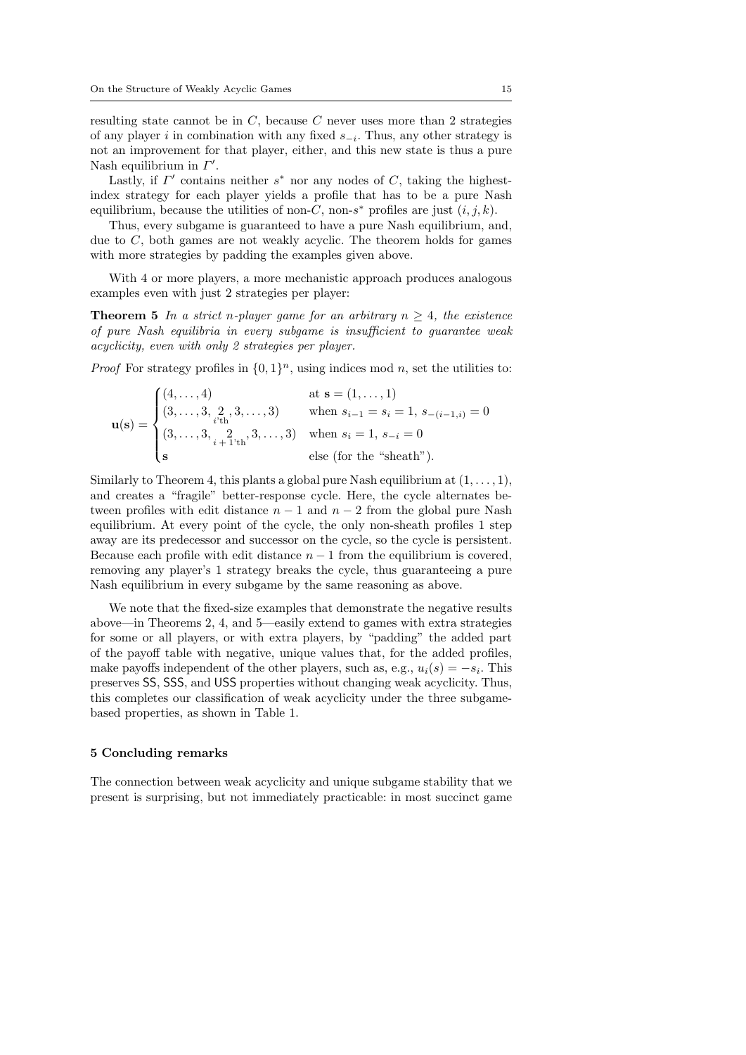resulting state cannot be in  $C$ , because  $C$  never uses more than 2 strategies of any player i in combination with any fixed  $s_{-i}$ . Thus, any other strategy is not an improvement for that player, either, and this new state is thus a pure Nash equilibrium in  $\Gamma'$ .

Lastly, if  $\Gamma'$  contains neither  $s^*$  nor any nodes of C, taking the highestindex strategy for each player yields a profile that has to be a pure Nash equilibrium, because the utilities of non-C, non-s<sup>\*</sup> profiles are just  $(i, j, k)$ .

Thus, every subgame is guaranteed to have a pure Nash equilibrium, and, due to  $C$ , both games are not weakly acyclic. The theorem holds for games with more strategies by padding the examples given above.

With 4 or more players, a more mechanistic approach produces analogous examples even with just 2 strategies per player:

**Theorem 5** In a strict n-player game for an arbitrary  $n \geq 4$ , the existence of pure Nash equilibria in every subgame is insufficient to guarantee weak acyclicity, even with only 2 strategies per player.

*Proof* For strategy profiles in  $\{0,1\}^n$ , using indices mod n, set the utilities to:

$$
\mathbf{u(s)} = \begin{cases} (4, \dots, 4) & \text{at } \mathbf{s} = (1, \dots, 1) \\ (3, \dots, 3, \underset{i+1 \text{th}}{2}, 3, \dots, 3) & \text{when } s_{i-1} = s_i = 1, s_{-(i-1,i)} = 0 \\ (3, \dots, 3, \underset{i+1 \text{th}}{2}, 3, \dots, 3) & \text{when } s_i = 1, s_{-i} = 0 \\ \mathbf{s} & \text{else (for the "sheath").} \end{cases}
$$

Similarly to Theorem 4, this plants a global pure Nash equilibrium at  $(1, \ldots, 1)$ , and creates a "fragile" better-response cycle. Here, the cycle alternates between profiles with edit distance  $n-1$  and  $n-2$  from the global pure Nash equilibrium. At every point of the cycle, the only non-sheath profiles 1 step away are its predecessor and successor on the cycle, so the cycle is persistent. Because each profile with edit distance  $n - 1$  from the equilibrium is covered, removing any player's 1 strategy breaks the cycle, thus guaranteeing a pure Nash equilibrium in every subgame by the same reasoning as above.

We note that the fixed-size examples that demonstrate the negative results above—in Theorems 2, 4, and 5—easily extend to games with extra strategies for some or all players, or with extra players, by "padding" the added part of the payoff table with negative, unique values that, for the added profiles, make payoffs independent of the other players, such as, e.g.,  $u_i(s) = -s_i$ . This preserves SS, SSS, and USS properties without changing weak acyclicity. Thus, this completes our classification of weak acyclicity under the three subgamebased properties, as shown in Table 1.

#### 5 Concluding remarks

The connection between weak acyclicity and unique subgame stability that we present is surprising, but not immediately practicable: in most succinct game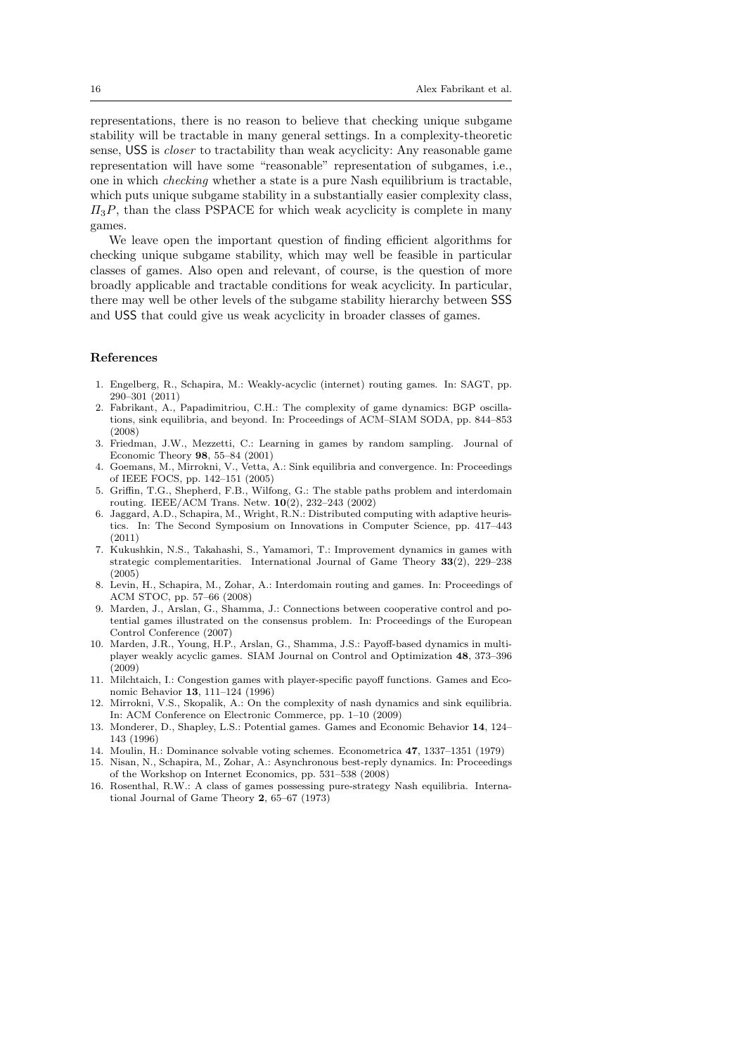representations, there is no reason to believe that checking unique subgame stability will be tractable in many general settings. In a complexity-theoretic sense, USS is closer to tractability than weak acyclicity: Any reasonable game representation will have some "reasonable" representation of subgames, i.e., one in which checking whether a state is a pure Nash equilibrium is tractable, which puts unique subgame stability in a substantially easier complexity class,  $\Pi_3P$ , than the class PSPACE for which weak acyclicity is complete in many games.

We leave open the important question of finding efficient algorithms for checking unique subgame stability, which may well be feasible in particular classes of games. Also open and relevant, of course, is the question of more broadly applicable and tractable conditions for weak acyclicity. In particular, there may well be other levels of the subgame stability hierarchy between SSS and USS that could give us weak acyclicity in broader classes of games.

#### References

- 1. Engelberg, R., Schapira, M.: Weakly-acyclic (internet) routing games. In: SAGT, pp. 290–301 (2011)
- 2. Fabrikant, A., Papadimitriou, C.H.: The complexity of game dynamics: BGP oscillations, sink equilibria, and beyond. In: Proceedings of ACM–SIAM SODA, pp. 844–853 (2008)
- 3. Friedman, J.W., Mezzetti, C.: Learning in games by random sampling. Journal of Economic Theory 98, 55–84 (2001)
- 4. Goemans, M., Mirrokni, V., Vetta, A.: Sink equilibria and convergence. In: Proceedings of IEEE FOCS, pp. 142–151 (2005)
- 5. Griffin, T.G., Shepherd, F.B., Wilfong, G.: The stable paths problem and interdomain routing. IEEE/ACM Trans. Netw. 10(2), 232–243 (2002)
- 6. Jaggard, A.D., Schapira, M., Wright, R.N.: Distributed computing with adaptive heuristics. In: The Second Symposium on Innovations in Computer Science, pp. 417–443 (2011)
- 7. Kukushkin, N.S., Takahashi, S., Yamamori, T.: Improvement dynamics in games with strategic complementarities. International Journal of Game Theory 33(2), 229–238 (2005)
- 8. Levin, H., Schapira, M., Zohar, A.: Interdomain routing and games. In: Proceedings of ACM STOC, pp. 57–66 (2008)
- 9. Marden, J., Arslan, G., Shamma, J.: Connections between cooperative control and potential games illustrated on the consensus problem. In: Proceedings of the European Control Conference (2007)
- 10. Marden, J.R., Young, H.P., Arslan, G., Shamma, J.S.: Payoff-based dynamics in multiplayer weakly acyclic games. SIAM Journal on Control and Optimization 48, 373–396 (2009)
- 11. Milchtaich, I.: Congestion games with player-specific payoff functions. Games and Economic Behavior 13, 111–124 (1996)
- 12. Mirrokni, V.S., Skopalik, A.: On the complexity of nash dynamics and sink equilibria. In: ACM Conference on Electronic Commerce, pp. 1–10 (2009)
- 13. Monderer, D., Shapley, L.S.: Potential games. Games and Economic Behavior 14, 124– 143 (1996)
- 14. Moulin, H.: Dominance solvable voting schemes. Econometrica 47, 1337–1351 (1979)
- 15. Nisan, N., Schapira, M., Zohar, A.: Asynchronous best-reply dynamics. In: Proceedings of the Workshop on Internet Economics, pp. 531–538 (2008)
- 16. Rosenthal, R.W.: A class of games possessing pure-strategy Nash equilibria. International Journal of Game Theory 2, 65–67 (1973)